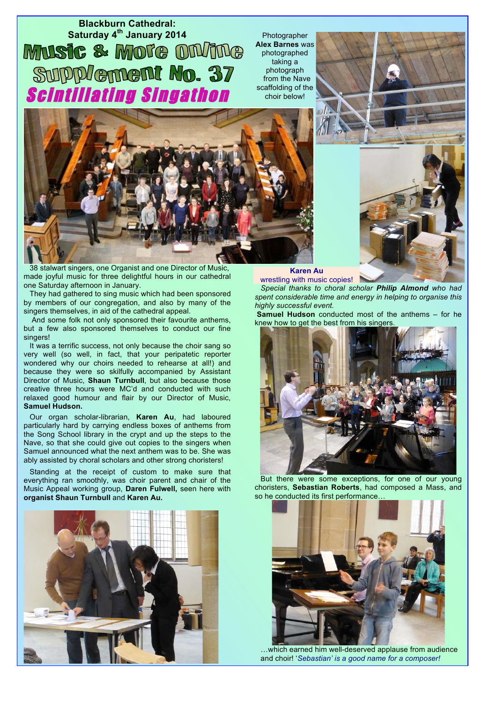**Blackburn Cathedral:** Saturday 4<sup>th</sup> January 2014<br> **MUSIC & MOTE DIVIDE** Supplement No. 37 Scintillating Singathon

Photographer **Alex Barnes** was photographed taking a photograph from the Nave scaffolding of the choir below!





38 stalwart singers, one Organist and one Director of Music, made joyful music for three delightful hours in our cathedral one Saturday afternoon in January.

They had gathered to sing music which had been sponsored by members of our congregation, and also by many of the singers themselves, in aid of the cathedral appeal.

 And some folk not only sponsored their favourite anthems, but a few also sponsored themselves to conduct our fine singers!

It was a terrific success, not only because the choir sang so very well (so well, in fact, that your peripatetic reporter wondered why our choirs needed to rehearse at all!) and because they were so skilfully accompanied by Assistant Director of Music, **Shaun Turnbull**, but also because those creative three hours were MC'd and conducted with such relaxed good humour and flair by our Director of Music, **Samuel Hudson.** 

Our organ scholar-librarian, **Karen Au**, had laboured particularly hard by carrying endless boxes of anthems from the Song School library in the crypt and up the steps to the Nave, so that she could give out copies to the singers when Samuel announced what the next anthem was to be. She was ably assisted by choral scholars and other strong choristers!

Standing at the receipt of custom to make sure that everything ran smoothly, was choir parent and chair of the Music Appeal working group, **Daren Fulwell,** seen here with **organist Shaun Turnbull** and **Karen Au.**



## **Karen Au**

wrestling with music copies! *Special thanks to choral scholar Philip Almond who had spent considerable time and energy in helping to organise this highly successful event.* 

**Samuel Hudson** conducted most of the anthems – for he knew how to get the best from his singers.



But there were some exceptions, for one of our young choristers, **Sebastian Roberts**, had composed a Mass, and so he conducted its first performance



…which earned him well-deserved applause from audience and choir! '*Sebastian' is a good name for a composer!*